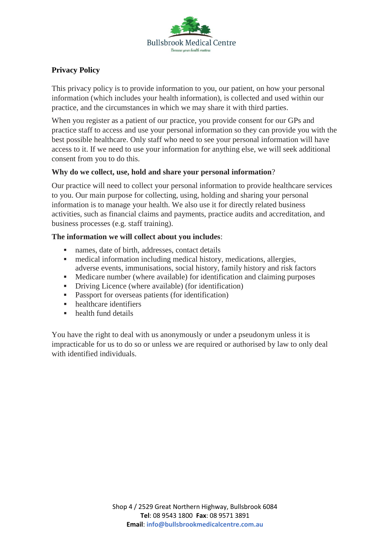

# **Privacy Policy**

This privacy policy is to provide information to you, our patient, on how your personal information (which includes your health information), is collected and used within our practice, and the circumstances in which we may share it with third parties.

When you register as a patient of our practice, you provide consent for our GPs and practice staff to access and use your personal information so they can provide you with the best possible healthcare. Only staff who need to see your personal information will have access to it. If we need to use your information for anything else, we will seek additional consent from you to do this.

## **Why do we collect, use, hold and share your personal information**?

Our practice will need to collect your personal information to provide healthcare services to you. Our main purpose for collecting, using, holding and sharing your personal information is to manage your health. We also use it for directly related business activities, such as financial claims and payments, practice audits and accreditation, and business processes (e.g. staff training).

## **The information we will collect about you includes**:

- names, date of birth, addresses, contact details
- medical information including medical history, medications, allergies, adverse events, immunisations, social history, family history and risk factors
- Medicare number (where available) for identification and claiming purposes
- Driving Licence (where available) (for identification)
- Passport for overseas patients (for identification)
- healthcare identifiers
- health fund details

You have the right to deal with us anonymously or under a pseudonym unless it is impracticable for us to do so or unless we are required or authorised by law to only deal with identified individuals.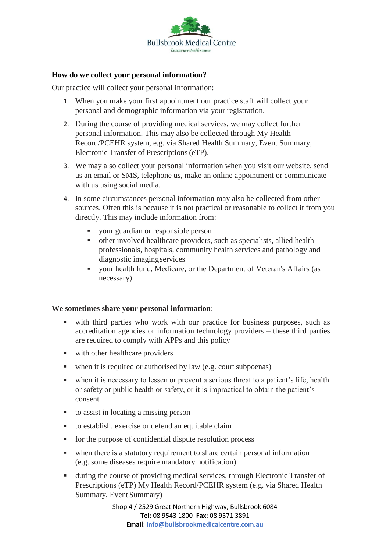

#### **How do we collect your personal information?**

Our practice will collect your personal information:

- 1. When you make your first appointment our practice staff will collect your personal and demographic information via your registration.
- 2. During the course of providing medical services, we may collect further personal information. This may also be collected through My Health Record/PCEHR system, e.g. via Shared Health Summary, Event Summary, Electronic Transfer of Prescriptions(eTP).
- 3. We may also collect your personal information when you visit our website, send us an email or SMS, telephone us, make an online appointment or communicate with us using social media.
- 4. In some circumstances personal information may also be collected from other sources. Often this is because it is not practical or reasonable to collect it from you directly. This may include information from:
	- your guardian or responsible person
	- other involved healthcare providers, such as specialists, allied health professionals, hospitals, community health services and pathology and diagnostic imagingservices
	- your health fund, Medicare, or the Department of Veteran's Affairs (as necessary)

#### **We sometimes share your personal information**:

- with third parties who work with our practice for business purposes, such as accreditation agencies or information technology providers – these third parties are required to comply with APPs and this policy
- with other healthcare providers
- when it is required or authorised by law (e.g. court subpoenas)
- when it is necessary to lessen or prevent a serious threat to a patient's life, health or safety or public health or safety, or it is impractical to obtain the patient's consent
- to assist in locating a missing person
- to establish, exercise or defend an equitable claim
- for the purpose of confidential dispute resolution process
- when there is a statutory requirement to share certain personal information (e.g. some diseases require mandatory notification)
- during the course of providing medical services, through Electronic Transfer of Prescriptions (eTP) My Health Record/PCEHR system (e.g. via Shared Health Summary, Event Summary)

Shop 4 / 2529 Great Northern Highway, Bullsbrook 6084 **Tel**: 08 9543 1800 **Fax**: 08 9571 3891 **Email**: **info@bullsbrookmedicalcentre.com.au**